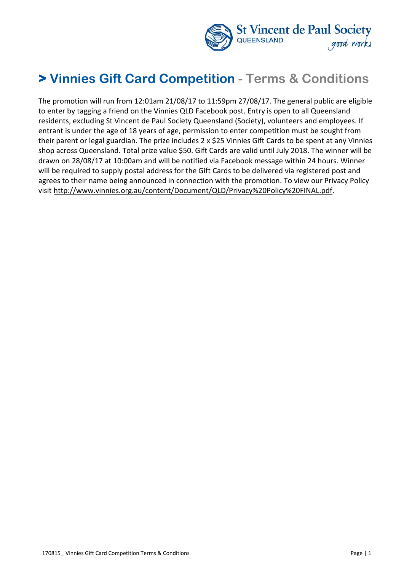

# **> Vinnies Gift Card Competition - Terms & Conditions**

The promotion will run from 12:01am 21/08/17 to 11:59pm 27/08/17. The general public are eligible to enter by tagging a friend on the Vinnies QLD Facebook post. Entry is open to all Queensland residents, excluding St Vincent de Paul Society Queensland (Society), volunteers and employees. If entrant is under the age of 18 years of age, permission to enter competition must be sought from their parent or legal guardian. The prize includes 2 x \$25 Vinnies Gift Cards to be spent at any Vinnies shop across Queensland. Total prize value \$50. Gift Cards are valid until July 2018. The winner will be drawn on 28/08/17 at 10:00am and will be notified via Facebook message within 24 hours. Winner will be required to supply postal address for the Gift Cards to be delivered via registered post and agrees to their name being announced in connection with the promotion. To view our Privacy Policy visit [http://www.vinnies.org.au/content/Document/QLD/Privacy%20Policy%20FINAL.pdf.](http://www.vinnies.org.au/content/Document/QLD/Privacy%20Policy%20FINAL.pdf)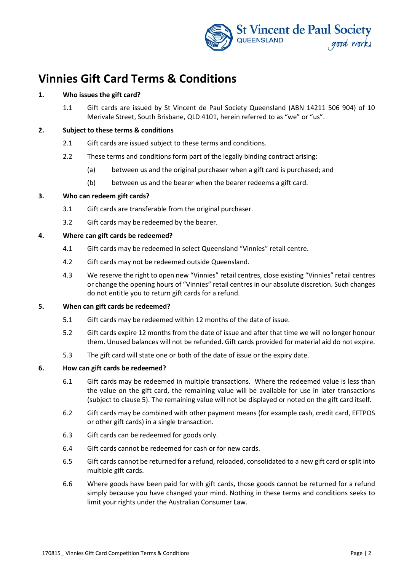

# **Vinnies Gift Card Terms & Conditions**

# **1. Who issues the gift card?**

1.1 Gift cards are issued by St Vincent de Paul Society Queensland (ABN 14211 506 904) of 10 Merivale Street, South Brisbane, QLD 4101, herein referred to as "we" or "us".

#### **2. Subject to these terms & conditions**

- 2.1 Gift cards are issued subject to these terms and conditions.
- 2.2 These terms and conditions form part of the legally binding contract arising:
	- (a) between us and the original purchaser when a gift card is purchased; and
	- (b) between us and the bearer when the bearer redeems a gift card.

#### **3. Who can redeem gift cards?**

- 3.1 Gift cards are transferable from the original purchaser.
- 3.2 Gift cards may be redeemed by the bearer.

#### **4. Where can gift cards be redeemed?**

- 4.1 Gift cards may be redeemed in select Queensland "Vinnies" retail centre.
- 4.2 Gift cards may not be redeemed outside Queensland.
- 4.3 We reserve the right to open new "Vinnies" retail centres, close existing "Vinnies" retail centres or change the opening hours of "Vinnies" retail centres in our absolute discretion. Such changes do not entitle you to return gift cards for a refund.

#### <span id="page-1-0"></span>**5. When can gift cards be redeemed?**

- 5.1 Gift cards may be redeemed within 12 months of the date of issue.
- 5.2 Gift cards expire 12 months from the date of issue and after that time we will no longer honour them. Unused balances will not be refunded. Gift cards provided for material aid do not expire.
- 5.3 The gift card will state one or both of the date of issue or the expiry date.

# **6. How can gift cards be redeemed?**

- 6.1 Gift cards may be redeemed in multiple transactions. Where the redeemed value is less than the value on the gift card, the remaining value will be available for use in later transactions (subject to clause [5\)](#page-1-0). The remaining value will not be displayed or noted on the gift card itself.
- 6.2 Gift cards may be combined with other payment means (for example cash, credit card, EFTPOS or other gift cards) in a single transaction.
- 6.3 Gift cards can be redeemed for goods only.
- 6.4 Gift cards cannot be redeemed for cash or for new cards.
- 6.5 Gift cards cannot be returned for a refund, reloaded, consolidated to a new gift card or split into multiple gift cards.
- 6.6 Where goods have been paid for with gift cards, those goods cannot be returned for a refund simply because you have changed your mind. Nothing in these terms and conditions seeks to limit your rights under the Australian Consumer Law.